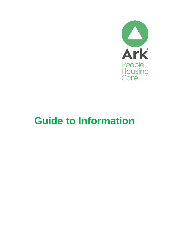

# **Guide to Information**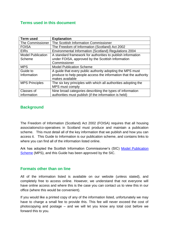## **Terms used in this document**

| <b>Term used</b>         | <b>Explanation</b>                                               |
|--------------------------|------------------------------------------------------------------|
| The Commissioner         | The Scottish Information Commissioner                            |
| <b>FOISA</b>             | The Freedom of Information (Scotland) Act 2002                   |
| <b>EIRs</b>              | Environmental Information (Scotland) Regulations 2004            |
| <b>Model Publication</b> | A standard framework for authorities to publish information      |
| Scheme                   | under FOISA, approved by the Scottish Information                |
|                          | Commissioner                                                     |
| <b>MPS</b>               | <b>Model Publication Scheme</b>                                  |
| Guide to                 | A guide that every public authority adopting the MPS must        |
| Information              | produce to help people access the information that the authority |
|                          | makes available                                                  |
| <b>MPS Principles</b>    | The six key principles with which all authorities adopting the   |
|                          | MPS must comply                                                  |
| Classes of               | Nine broad categories describing the types of information        |
| information              | authorities must publish (if the information is held)            |

## **Background**

The Freedom of Information (Scotland) Act 2002 (FOISA) requires that all housing associations/co-operatives in Scotland must produce and maintain a publication scheme. This must detail all of the key information that we publish and how you can access it. This Guide to Information is our publication scheme, and contains links to where you can find all of the information listed online.

Ark has adopted the Scottish Information Commissioner's (SIC) [Model Publication](https://www.itspublicknowledge.info/ScottishPublicAuthorities/PublicationSchemes/TheModelPublicationScheme.aspx)  [Scheme](https://www.itspublicknowledge.info/ScottishPublicAuthorities/PublicationSchemes/TheModelPublicationScheme.aspx) (MPS), and this Guide has been approved by the SIC.

#### **Formats other than on line**

All of the information listed is available on our website (unless stated), and completely free to access online. However, we understand that not everyone will have online access and where this is the case you can contact us to view this in our office (where this would be convenient).

If you would like a printed copy of any of the information listed, unfortunately we may have to charge a small fee to provide this. This fee will never exceed the cost of photocopying and postage – and we will let you know any total cost before we forward this to you.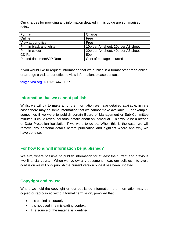Our charges for providing any information detailed in this guide are summarised below:

| Format                   | Charge                             |
|--------------------------|------------------------------------|
| Online                   | Free                               |
| View at our office       | Free                               |
| Print in black and white | 10p per A4 sheet, 20p per A3 sheet |
| Print in colour          | 20p per A4 sheet, 40p per A3 sheet |
| CD Rom                   | 50 <sub>p</sub>                    |
| Posted document/CD Rom   | Cost of postage incurred           |

If you would like to request information that we publish in a format other than online, or arrange a visit to our office to view information, please contact:

[foi@arkha.org.uk](mailto:foi@arkha.org.uk) 0131 447 9027

#### **Information that we cannot publish**

Whilst we will try to make all of the information we have detailed available, in rare cases there may be some information that we cannot make available. For example, sometimes if we were to publish certain Board of Management or Sub-Committee minutes, it could reveal personal details about an individual. This would be a breach of Data Protection legislation if we were to do so. When this is the case, we will remove any personal details before publication and highlight where and why we have done so.

#### **For how long will information be published?**

We aim, where possible, to publish information for at least the current and previous two financial years. When we review any document – e.g. our policies – to avoid confusion we will only publish the current version once it has been updated.

## **Copyright and re-use**

Where we hold the copyright on our published information, the information may be copied or reproduced without formal permission, provided that:

- It is copied accurately
- It is not used in a misleading context
- The source of the material is identified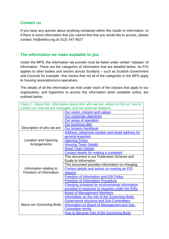## **Contact us**

If you have any queries about anything contained within this Guide to Information, or if there is some information that you cannot find that you would like to access, please contact: foi@arkha.org.uk 0131 447 9027

### **The information we make available to you**

Under the MPS, the information we provide must be listed under certain "classes" of information. These are the categories of information that are detailed below. As FOI applies to other bodies and sectors across Scotland – such as Scottish Government and Councils for example –this means that not all of the categories in the MPS apply to housing associations/co-operatives.

The details of all the information we hold under each of the classes that apply to our organisation, and hyperlinks to access this information when available online, are outlined below.

| Class 1 - About Ark, Information about Ark, who we are, where to find us, how to |                                                 |  |
|----------------------------------------------------------------------------------|-------------------------------------------------|--|
| contact us, how we are managed, and our external relations.                      |                                                 |  |
|                                                                                  | Our vision, mission and values                  |  |
|                                                                                  | Our corporate objectives                        |  |
|                                                                                  | Our areas of operation                          |  |
|                                                                                  | Our business plan                               |  |
| Description of who we are                                                        | Our tenants handbook                            |  |
|                                                                                  | Address, telephone number and email address for |  |
|                                                                                  | general enquiries                               |  |
| <b>Location and Opening</b>                                                      | <b>Opening Times</b>                            |  |
| Arrangements                                                                     | <b>Housing Team Details</b>                     |  |
|                                                                                  | <b>Asset Team Details</b>                       |  |
|                                                                                  | Contact details for making a complaint          |  |
|                                                                                  | This document is our Publication Scheme and     |  |
|                                                                                  | Guide to Information                            |  |
|                                                                                  | This document provides information on charging  |  |
| Information relating to                                                          | Contact details and advice on making an FOI     |  |
| Freedom of Information                                                           | request                                         |  |
|                                                                                  | <b>Freedom of Information and EIR Policy</b>    |  |
|                                                                                  | <b>Freedom of Information Procedure</b>         |  |
|                                                                                  | Charging schedule for environmental information |  |
|                                                                                  | provided in response to requests under the EIRs |  |
|                                                                                  | <b>Board of Management Members</b>              |  |
|                                                                                  | Information on the role of the Governing Body,  |  |
|                                                                                  | <b>Governance structure and Sub-Committees</b>  |  |
| About our Governing Body                                                         | information on Board of Management and Sub-     |  |
|                                                                                  | <b>Committee remits</b>                         |  |
|                                                                                  | How to Become Part of the Governing Body        |  |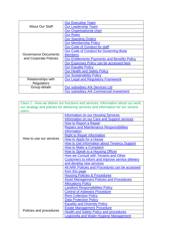|                                                | <b>Our Executive Team</b>                            |
|------------------------------------------------|------------------------------------------------------|
| About Our Staff                                | <b>Our Leadership Team</b>                           |
|                                                | <b>Our Organisational chart</b>                      |
|                                                | <b>Our Rules</b>                                     |
|                                                | <b>Our Standing Orders</b>                           |
|                                                | <b>Our Membership Policy</b>                         |
|                                                | Our Code of Conduct for staff                        |
|                                                | <b>Our Code of Conduct for Governing Body</b>        |
| Governance Documents<br>and Corporate Policies | <b>Members</b>                                       |
|                                                | <b>Our Entitlements Payments and Benefits Policy</b> |
|                                                | Our Expenses Policy can be accessed here             |
|                                                | <b>Our Equality Policy</b>                           |
|                                                | <b>Our Health and Safety Policy</b>                  |
|                                                | <b>Our Sustainability Policy</b>                     |
| <b>Relationships with</b>                      | <b>Our Legal and Regulatory Framework</b>            |
| Regulators                                     |                                                      |
| Group details                                  | <b>Our subsidiary Ark Services Ltd</b>               |
|                                                | <b>Our subsidiary Ark Commercial Investment</b>      |

| Class 2 - How we deliver our functions and services, Information about our work,<br>our strategy and policies for delivering services and information for our service<br>users. |                                                  |  |
|---------------------------------------------------------------------------------------------------------------------------------------------------------------------------------|--------------------------------------------------|--|
|                                                                                                                                                                                 | <b>Information on our Housing Services</b>       |  |
|                                                                                                                                                                                 | Information on our Care and Support services     |  |
|                                                                                                                                                                                 | <b>How to Report a Repair</b>                    |  |
|                                                                                                                                                                                 | <b>Repairs and Maintenance Responsibilities</b>  |  |
|                                                                                                                                                                                 | information                                      |  |
|                                                                                                                                                                                 | <b>Right to Repair information</b>               |  |
| How to use our services                                                                                                                                                         | How to Apply for a House                         |  |
|                                                                                                                                                                                 | How to Get Information about Tenancy Support     |  |
|                                                                                                                                                                                 | How to Make a Complaint                          |  |
|                                                                                                                                                                                 | <b>How to Speak to a Housing Officer</b>         |  |
|                                                                                                                                                                                 | <b>How we Consult with Tenants and Other</b>     |  |
|                                                                                                                                                                                 | Customers to inform and improve service delivery |  |
|                                                                                                                                                                                 | and develop new services                         |  |
|                                                                                                                                                                                 | All ARK Policies and Procedures can be accessed  |  |
|                                                                                                                                                                                 | from this page                                   |  |
|                                                                                                                                                                                 | <b>Housing Policies &amp; Procedures</b>         |  |
|                                                                                                                                                                                 | <b>Asset Management Policies and Procedures</b>  |  |
|                                                                                                                                                                                 | <b>Allocations Policy</b>                        |  |
|                                                                                                                                                                                 | <b>Landlord Responsibilities Policy</b>          |  |
|                                                                                                                                                                                 | <b>Control of Asbestos Procedure</b>             |  |
|                                                                                                                                                                                 | <b>Rent Collection Policy</b>                    |  |
|                                                                                                                                                                                 | <b>Data Protection Policy</b>                    |  |
|                                                                                                                                                                                 | <b>Equality and Diversity Policy</b>             |  |
|                                                                                                                                                                                 | <b>Estate Management Procedure</b>               |  |
| Policies and procedures                                                                                                                                                         | <b>Health and Safety Policy and procedures</b>   |  |
|                                                                                                                                                                                 | Legionella and Water Hygiene Management          |  |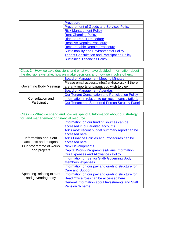| <b>Procedure</b>                                    |
|-----------------------------------------------------|
| <b>Procurement of Goods and Services Policy</b>     |
| <b>Risk Management Policy</b>                       |
| <b>Rent Charging Policy</b>                         |
| <b>Right to Repair Procedure</b>                    |
| <b>Reactive Repairs Procedure</b>                   |
| <b>Rechargeable Repairs Procedure</b>               |
| <b>Sustainability and Environmental Policy</b>      |
| <b>Tenant Consultation and Participation Policy</b> |
| <b>Sustaining Tenancies Policy</b>                  |

| Class 3 - How we take decisions and what we have decided, Information about<br>the decisions we take, how we make decisions and how we involve others. |                                                         |  |
|--------------------------------------------------------------------------------------------------------------------------------------------------------|---------------------------------------------------------|--|
|                                                                                                                                                        | <b>Board of Management Meeting Minutes</b>              |  |
|                                                                                                                                                        | Please email accesstoinfo@arkha.org.uk if there         |  |
| <b>Governing Body Meetings</b>                                                                                                                         | are any reports or papers you wish to view              |  |
|                                                                                                                                                        | <b>Board of Management Agendas</b>                      |  |
|                                                                                                                                                        | <b>Our Tenant Consultation and Participation Policy</b> |  |
| Consultation and                                                                                                                                       | Information in relation to our recent consultations     |  |
| Participation                                                                                                                                          | Our Tenant and Supported Person Scrutiny Panel          |  |

| Class 4 - What we spend and how we spend it, Information about our strategy |                                                        |  |
|-----------------------------------------------------------------------------|--------------------------------------------------------|--|
| for, and management of, financial resource                                  |                                                        |  |
|                                                                             | Information on our funding sources can be              |  |
|                                                                             | accessed in our audited accounts                       |  |
|                                                                             | Ark's most recent budget summary report can be         |  |
|                                                                             | accessed here                                          |  |
| Information about our                                                       | Ark's Finance Policies and Procedures can be           |  |
| accounts and budgets                                                        | accessed here                                          |  |
| Our programme of works                                                      | <b>New Developments</b>                                |  |
| and projects                                                                | <b>Capital Works Programmes/Plans Information</b>      |  |
|                                                                             | <b>Our Expenses and Allowances Policy</b>              |  |
|                                                                             | <b>Information on Senior Staff/ Governing Body</b>     |  |
|                                                                             | Members' expenses                                      |  |
|                                                                             | Information on our pay and grading structure for       |  |
| Spending relating to staff                                                  | <b>Care and Support</b>                                |  |
|                                                                             | Information on our pay and grading structure for       |  |
| and governing body                                                          | Head Office roles can be accessed here                 |  |
|                                                                             | <b>General Information about Investments and Staff</b> |  |
|                                                                             | <b>Pension Scheme</b>                                  |  |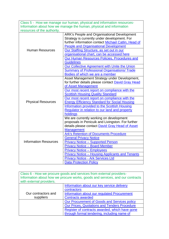| Class 5 - How we manage our human, physical and information resources- |                                                                                             |  |
|------------------------------------------------------------------------|---------------------------------------------------------------------------------------------|--|
| Information about how we manage the human, physical and information    |                                                                                             |  |
| resources of the authority.                                            |                                                                                             |  |
|                                                                        | ARK's People and Organisational Development<br>Strategy is currently under development. For |  |
|                                                                        | further information contact Michael Catlin, Head of                                         |  |
|                                                                        | <b>People and Organisational Development</b>                                                |  |
| <b>Human Resources</b>                                                 | Our Staffing Structure, as set out in our                                                   |  |
|                                                                        | organisational chart, can be accessed here                                                  |  |
|                                                                        | Our Human Resources Policies, Procedures and                                                |  |
|                                                                        | <b>Guidelines</b>                                                                           |  |
|                                                                        | Our Collective Agreement with Unite the Union                                               |  |
|                                                                        | <b>Summary of Professional Organisations/ Trade</b>                                         |  |
|                                                                        | Bodies of which we are a member                                                             |  |
|                                                                        | Asset Management Strategy under Development,                                                |  |
|                                                                        | for further details please contact David Gray Head                                          |  |
|                                                                        | of Asset Management                                                                         |  |
|                                                                        | Our most recent report on compliance with the                                               |  |
|                                                                        | <b>Scottish Housing Quality Standard</b>                                                    |  |
|                                                                        | Our most recent report on compliance with the                                               |  |
| <b>Physical Resources</b>                                              | <b>Energy Efficiency Standard for Social Housing</b>                                        |  |
|                                                                        | Information provided to the Scottish Housing                                                |  |
|                                                                        | Regulator in relation to our land and property                                              |  |
|                                                                        | holdings                                                                                    |  |
|                                                                        | We are currently working on development                                                     |  |
|                                                                        | proposals in Penicuik and Livingston. For further                                           |  |
|                                                                        | details please contact David Gray Head of Asset                                             |  |
|                                                                        | <b>Management</b>                                                                           |  |
|                                                                        | <b>Ark's Retention of Documents Procedure</b>                                               |  |
|                                                                        | <b>General Privacy Notice</b>                                                               |  |
| <b>Information Resources</b>                                           | <b>Privacy Notice - Supported Person</b>                                                    |  |
|                                                                        | <b>Privacy Notice - Board Member</b>                                                        |  |
|                                                                        | <b>Privacy Notice - Employees</b>                                                           |  |
|                                                                        | <b>Privacy Notice - Housing Applicants and Tenants</b>                                      |  |
|                                                                        | <b>Privacy Notice - Ark Services Ltd</b>                                                    |  |
|                                                                        | <b>Data Protection Policy</b>                                                               |  |

| Class 6 - How we procure goods and services from external providers-<br>Information about how we procure works, goods and services, and our contracts<br>with external providers. |                                                     |
|-----------------------------------------------------------------------------------------------------------------------------------------------------------------------------------|-----------------------------------------------------|
| Information about our key service delivery                                                                                                                                        |                                                     |
|                                                                                                                                                                                   |                                                     |
|                                                                                                                                                                                   | contractors                                         |
| Our contractors and                                                                                                                                                               | Information about our regulated Procurement         |
| suppliers                                                                                                                                                                         | <b>Contracts awarded</b>                            |
|                                                                                                                                                                                   | Our Procurement of Goods and Services policy        |
|                                                                                                                                                                                   | <b>Our Prices, Quotations and Tenders Procedure</b> |
|                                                                                                                                                                                   | Register of contracts awarded, which have gone      |
|                                                                                                                                                                                   | through formal tendering, including name of         |